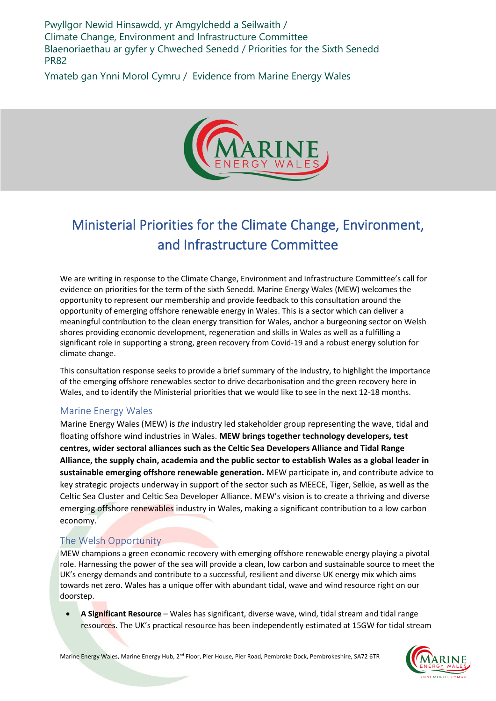Pwyllgor Newid Hinsawdd, yr Amgylchedd a Seilwaith / Climate Change, Environment and Infrastructure Committee Blaenoriaethau ar gyfer y Chweched Senedd / Priorities for the Sixth Senedd PR82

Ymateb gan Ynni Morol Cymru / Evidence from Marine Energy Wales



## Ministerial Priorities for the Climate Change, Environment, and Infrastructure Committee

We are writing in response to the Climate Change, Environment and Infrastructure Committee's call for evidence on priorities for the term of the sixth Senedd. Marine Energy Wales (MEW) welcomes the opportunity to represent our membership and provide feedback to this consultation around the opportunity of emerging offshore renewable energy in Wales. This is a sector which can deliver a meaningful contribution to the clean energy transition for Wales, anchor a burgeoning sector on Welsh shores providing economic development, regeneration and skills in Wales as well as a fulfilling a significant role in supporting a strong, green recovery from Covid-19 and a robust energy solution for climate change.

This consultation response seeks to provide a brief summary of the industry, to highlight the importance of the emerging offshore renewables sector to drive decarbonisation and the green recovery here in Wales, and to identify the Ministerial priorities that we would like to see in the next 12-18 months.

## Marine Energy Wales

Marine Energy Wales (MEW) is *the* industry led stakeholder group representing the wave, tidal and floating offshore wind industries in Wales. **MEW brings together technology developers, test centres, wider sectoral alliances such as the Celtic Sea Developers Alliance and Tidal Range Alliance, the supply chain, academia and the public sector to establish Wales as a global leader in sustainable emerging offshore renewable generation.** MEW participate in, and contribute advice to key strategic projects underway in support of the sector such as MEECE, Tiger, Selkie, as well as the Celtic Sea Cluster and Celtic Sea Developer Alliance. MEW's vision is to create a thriving and diverse emerging offshore renewables industry in Wales, making a significant contribution to a low carbon economy.

## The Welsh Opportunity

MEW champions a green economic recovery with emerging offshore renewable energy playing a pivotal role. Harnessing the power of the sea will provide a clean, low carbon and sustainable source to meet the UK's energy demands and contribute to a successful, resilient and diverse UK energy mix which aims towards net zero. Wales has a unique offer with abundant tidal, wave and wind resource right on our doorstep.

• **A Significant Resource** – Wales has significant, diverse wave, wind, tidal stream and tidal range resources. The UK's practical resource has been independently estimated at 15GW for tidal stream

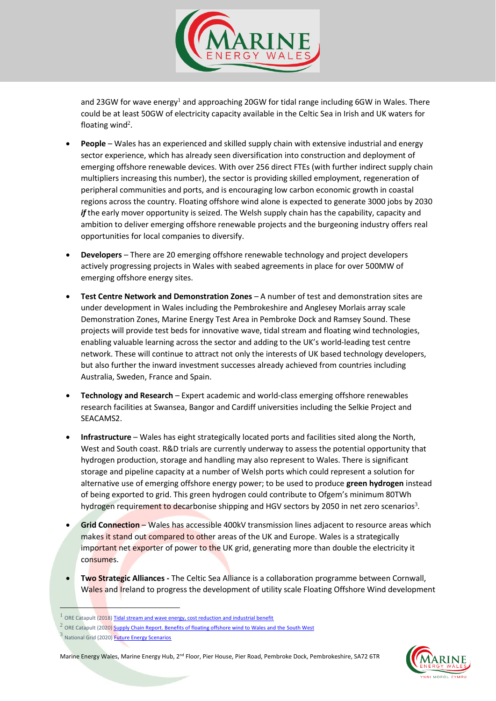

and 23GW for wave energy<sup>1</sup> and approaching 20GW for tidal range including 6GW in Wales. There could be at least 50GW of electricity capacity available in the Celtic Sea in Irish and UK waters for floating wind<sup>2</sup>.

- **People** Wales has an experienced and skilled supply chain with extensive industrial and energy sector experience, which has already seen diversification into construction and deployment of emerging offshore renewable devices. With over 256 direct FTEs (with further indirect supply chain multipliers increasing this number), the sector is providing skilled employment, regeneration of peripheral communities and ports, and is encouraging low carbon economic growth in coastal regions across the country. Floating offshore wind alone is expected to generate 3000 jobs by 2030 *if* the early mover opportunity is seized. The Welsh supply chain has the capability, capacity and ambition to deliver emerging offshore renewable projects and the burgeoning industry offers real opportunities for local companies to diversify.
- **Developers**  There are 20 emerging offshore renewable technology and project developers actively progressing projects in Wales with seabed agreements in place for over 500MW of emerging offshore energy sites.
- **Test Centre Network and Demonstration Zones** A number of test and demonstration sites are under development in Wales including the Pembrokeshire and Anglesey Morlais array scale Demonstration Zones, Marine Energy Test Area in Pembroke Dock and Ramsey Sound. These projects will provide test beds for innovative wave, tidal stream and floating wind technologies, enabling valuable learning across the sector and adding to the UK's world-leading test centre network. These will continue to attract not only the interests of UK based technology developers, but also further the inward investment successes already achieved from countries including Australia, Sweden, France and Spain.
- **Technology and Research** Expert academic and world-class emerging offshore renewables research facilities at Swansea, Bangor and Cardiff universities including the Selkie Project and SEACAMS2.
- **Infrastructure**  Wales has eight strategically located ports and facilities sited along the North, West and South coast. R&D trials are currently underway to assess the potential opportunity that hydrogen production, storage and handling may also represent to Wales. There is significant storage and pipeline capacity at a number of Welsh ports which could represent a solution for alternative use of emerging offshore energy power; to be used to produce **green hydrogen** instead of being exported to grid. This green hydrogen could contribute to Ofgem's minimum 80TWh hydrogen requirement to decarbonise shipping and HGV sectors by 2050 in net zero scenarios<sup>3</sup>.
- **Grid Connection** Wales has accessible 400kV transmission lines adjacent to resource areas which makes it stand out compared to other areas of the UK and Europe. Wales is a strategically important net exporter of power to the UK grid, generating more than double the electricity it consumes.
- **Two Strategic Alliances -** The Celtic Sea Alliance is a collaboration programme between Cornwall, Wales and Ireland to progress the development of utility scale Floating Offshore Wind development



<sup>&</sup>lt;sup>1</sup> ORE Catapult (2018[\) Tidal stream and wave energy, cost reduction and industrial benefit](https://s3-eu-west-1.amazonaws.com/media.newore.catapult/app/uploads/2018/05/04120736/Tidal-Stream-and-Wave-Energy-Cost-Reduction-and-Ind-Benefit-FINAL-v03.02.pdf)

 $^2$  ORE Catapult (2020) **Supply Chain Report. Benefits of floating offshore wind to Wales and the South West** 

<sup>&</sup>lt;sup>3</sup> National Grid (2020) **Future Energy Scenarios**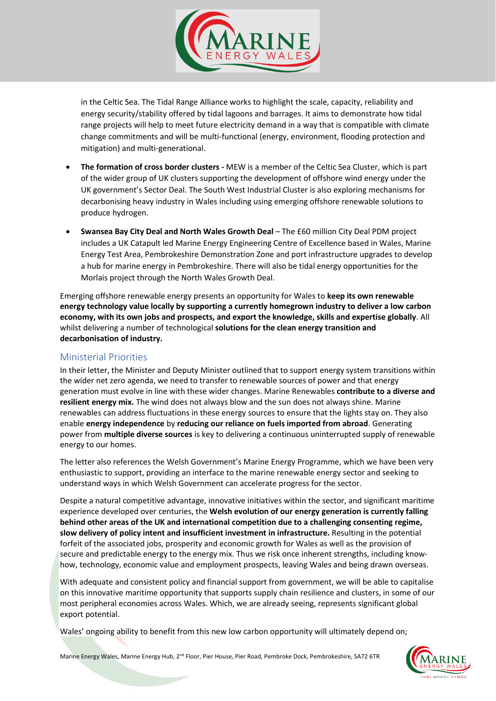

in the Celtic Sea. The Tidal Range Alliance works to highlight the scale, capacity, reliability and energy security/stability offered by tidal lagoons and barrages. It aims to demonstrate how tidal range projects will help to meet future electricity demand in a way that is compatible with climate change commitments and will be multi-functional (energy, environment, flooding protection and mitigation) and multi-generational.

- **The formation of cross border clusters -** MEW is a member of the Celtic Sea Cluster, which is part of the wider group of UK clusters supporting the development of offshore wind energy under the UK government's Sector Deal. The South West Industrial Cluster is also exploring mechanisms for decarbonising heavy industry in Wales including using emerging offshore renewable solutions to produce hydrogen.
- **Swansea Bay City Deal and North Wales Growth Deal** The £60 million City Deal PDM project includes a UK Catapult led Marine Energy Engineering Centre of Excellence based in Wales, Marine Energy Test Area, Pembrokeshire Demonstration Zone and port infrastructure upgrades to develop a hub for marine energy in Pembrokeshire. There will also be tidal energy opportunities for the Morlais project through the North Wales Growth Deal.

Emerging offshore renewable energy presents an opportunity for Wales to **keep its own renewable energy technology value locally by supporting a currently homegrown industry to deliver a low carbon economy, with its own jobs and prospects, and export the knowledge, skills and expertise globally**. All whilst delivering a number of technological **solutions for the clean energy transition and decarbonisation of industry.** 

## Ministerial Priorities

In their letter, the Minister and Deputy Minister outlined that to support energy system transitions within the wider net zero agenda, we need to transfer to renewable sources of power and that energy generation must evolve in line with these wider changes. Marine Renewables **contribute to a diverse and resilient energy mix.** The wind does not always blow and the sun does not always shine. Marine renewables can address fluctuations in these energy sources to ensure that the lights stay on. They also enable **energy independence** by **reducing our reliance on fuels imported from abroad**. Generating power from **multiple diverse sources** is key to delivering a continuous uninterrupted supply of renewable energy to our homes.

The letter also references the Welsh Government's Marine Energy Programme, which we have been very enthusiastic to support, providing an interface to the marine renewable energy sector and seeking to understand ways in which Welsh Government can accelerate progress for the sector.

Despite a natural competitive advantage, innovative initiatives within the sector, and significant maritime experience developed over centuries, the **Welsh evolution of our energy generation is currently falling behind other areas of the UK and international competition due to a challenging consenting regime, slow delivery of policy intent and insufficient investment in infrastructure.** Resulting in the potential forfeit of the associated jobs, prosperity and economic growth for Wales as well as the provision of secure and predictable energy to the energy mix. Thus we risk once inherent strengths, including knowhow, technology, economic value and employment prospects, leaving Wales and being drawn overseas.

With adequate and consistent policy and financial support from government, we will be able to capitalise on this innovative maritime opportunity that supports supply chain resilience and clusters, in some of our most peripheral economies across Wales. Which, we are already seeing, represents significant global export potential.

Wales' ongoing ability to benefit from this new low carbon opportunity will ultimately depend on;

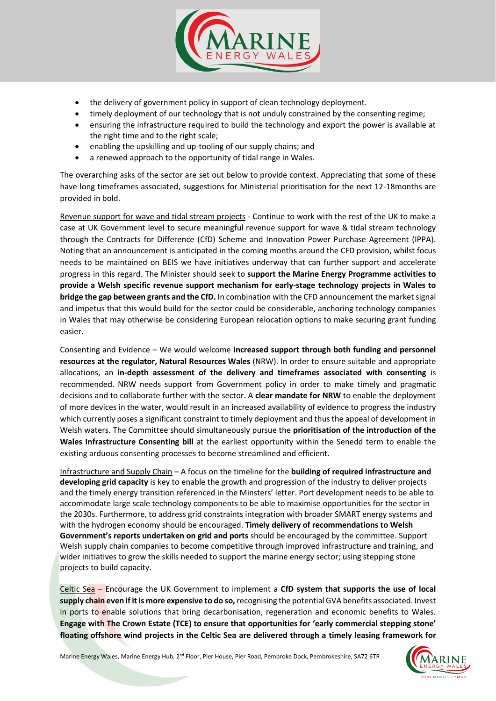

- the delivery of government policy in support of clean technology deployment.
- timely deployment of our technology that is not unduly constrained by the consenting regime;
- ensuring the infrastructure required to build the technology and export the power is available at the right time and to the right scale;
- enabling the upskilling and up-tooling of our supply chains; and
- a renewed approach to the opportunity of tidal range in Wales.

The overarching asks of the sector are set out below to provide context. Appreciating that some of these have long timeframes associated, suggestions for Ministerial prioritisation for the next 12-18months are provided in bold.

Revenue support for wave and tidal stream projects - Continue to work with the rest of the UK to make a case at UK Government level to secure meaningful revenue support for wave & tidal stream technology through the Contracts for Difference (CfD) Scheme and Innovation Power Purchase Agreement (IPPA). Noting that an announcement is anticipated in the coming months around the CFD provision, whilst focus needs to be maintained on BEIS we have initiatives underway that can further support and accelerate progress in this regard. The Minister should seek to **support the Marine Energy Programme activities to provide a Welsh specific revenue support mechanism for early-stage technology projects in Wales to bridge the gap between grants and the CfD.** In combination with the CFD announcement the market signal and impetus that this would build for the sector could be considerable, anchoring technology companies in Wales that may otherwise be considering European relocation options to make securing grant funding easier.

Consenting and Evidence – We would welcome **increased support through both funding and personnel resources at the regulator, Natural Resources Wales** (NRW). In order to ensure suitable and appropriate allocations, an **in-depth assessment of the delivery and timeframes associated with consenting** is recommended. NRW needs support from Government policy in order to make timely and pragmatic decisions and to collaborate further with the sector. A **clear mandate for NRW** to enable the deployment of more devices in the water, would result in an increased availability of evidence to progress the industry which currently poses a significant constraint to timely deployment and thus the appeal of development in Welsh waters. The Committee should simultaneously pursue the **prioritisation of the introduction of the Wales Infrastructure Consenting bill** at the earliest opportunity within the Senedd term to enable the existing arduous consenting processes to become streamlined and efficient.

Infrastructure and Supply Chain – A focus on the timeline for the **building of required infrastructure and developing grid capacity** is key to enable the growth and progression of the industry to deliver projects and the timely energy transition referenced in the Minsters' letter. Port development needs to be able to accommodate large scale technology components to be able to maximise opportunities for the sector in the 2030s. Furthermore, to address grid constraints integration with broader SMART energy systems and with the hydrogen economy should be encouraged. **Timely delivery of recommendations to Welsh Government's reports undertaken on grid and ports** should be encouraged by the committee. Support Welsh supply chain companies to become competitive through improved infrastructure and training, and wider initiatives to grow the skills needed to support the marine energy sector; using stepping stone projects to build capacity.

Celtic Sea – Encourage the UK Government to implement a **CfD system that supports the use of local supply chain even if it is more expensive to do so,**recognising the potential GVA benefits associated. Invest in ports to enable solutions that bring decarbonisation, regeneration and economic benefits to Wales. **Engage with The Crown Estate (TCE) to ensure that opportunities for 'early commercial stepping stone' floating offshore wind projects in the Celtic Sea are delivered through a timely leasing framework for**